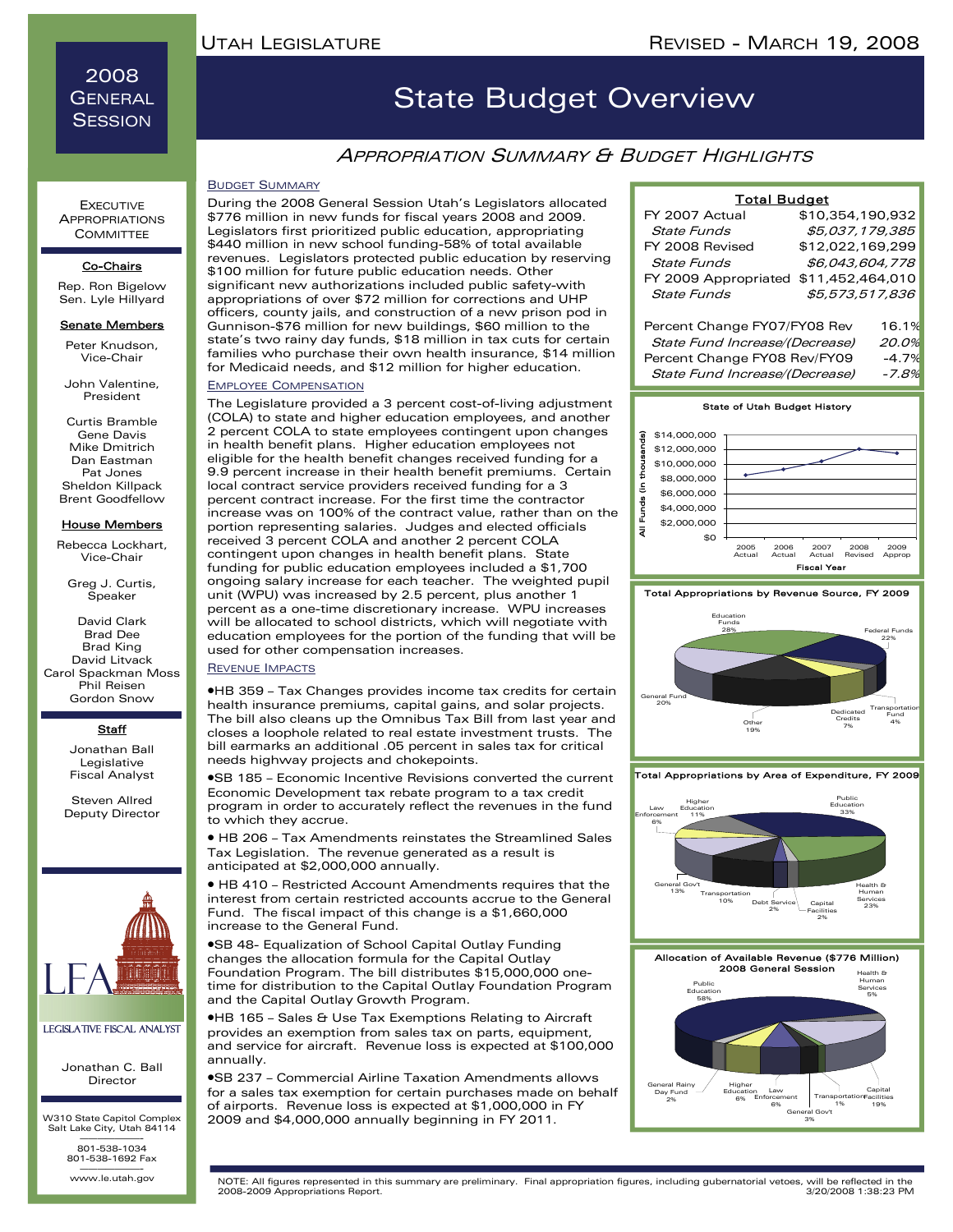### 2008 **GENERAL SESSION**

**EXECUTIVE APPROPRIATIONS COMMITTEE** 

#### Co-Chairs

Rep. Ron Bigelow Sen. Lyle Hillyard

#### **Senate Members**

Peter Knudson, Vice-Chair

John Valentine, President

Curtis Bramble Gene Davis Mike Dmitrich Dan Eastman Pat Jones Sheldon Killpack Brent Goodfellow

#### House Members

Rebecca Lockhart, Vice-Chair

Greg J. Curtis, Speaker

David Clark Brad Dee Brad King David Litvack Carol Spackman Moss Phil Reisen Gordon Snow

#### **Staff**

Jonathan Ball Legislative Fiscal Analyst

Steven Allred Deputy Director



#### Legislative Fiscal Analyst

Jonathan C. Ball Director

W310 State Capitol Complex Salt Lake City, Utah 84114 ———————- 801-538-1034

801-538-1692 Fax www.le.utah.gov

## State Budget Overview

### **APPROPRIATION SUMMARY & BUDGET HIGHLIGHTS**

#### BUDGET SUMMARY

During the 2008 General Session Utah's Legislators allocated \$776 million in new funds for fiscal years 2008 and 2009. Legislators first prioritized public education, appropriating \$440 million in new school funding-58% of total available revenues. Legislators protected public education by reserving \$100 million for future public education needs. Other significant new authorizations included public safety-with appropriations of over \$72 million for corrections and UHP officers, county jails, and construction of a new prison pod in Gunnison-\$76 million for new buildings, \$60 million to the state's two rainy day funds, \$18 million in tax cuts for certain families who purchase their own health insurance, \$14 million for Medicaid needs, and \$12 million for higher education.

#### EMPLOYEE COMPENSATION

The Legislature provided a 3 percent cost-of-living adjustment (COLA) to state and higher education employees, and another 2 percent COLA to state employees contingent upon changes in health benefit plans. Higher education employees not eligible for the health benefit changes received funding for a 9.9 percent increase in their health benefit premiums. Certain local contract service providers received funding for a 3 percent contract increase. For the first time the contractor increase was on 100% of the contract value, rather than on the portion representing salaries. Judges and elected officials received 3 percent COLA and another 2 percent COLA contingent upon changes in health benefit plans. State funding for public education employees included a \$1,700 ongoing salary increase for each teacher. The weighted pupil unit (WPU) was increased by 2.5 percent, plus another 1 percent as a one-time discretionary increase. WPU increases will be allocated to school districts, which will negotiate with education employees for the portion of the funding that will be used for other compensation increases.

#### REVENUE IMPACTS

•HB 359 – Tax Changes provides income tax credits for certain health insurance premiums, capital gains, and solar projects. The bill also cleans up the Omnibus Tax Bill from last year and closes a loophole related to real estate investment trusts. The bill earmarks an additional .05 percent in sales tax for critical needs highway projects and chokepoints.

•SB 185 – Economic Incentive Revisions converted the current Economic Development tax rebate program to a tax credit program in order to accurately reflect the revenues in the fund to which they accrue.

• HB 206 – Tax Amendments reinstates the Streamlined Sales Tax Legislation. The revenue generated as a result is anticipated at \$2,000,000 annually.

• HB 410 – Restricted Account Amendments requires that the interest from certain restricted accounts accrue to the General Fund. The fiscal impact of this change is a \$1,660,000 increase to the General Fund.

•SB 48- Equalization of School Capital Outlay Funding changes the allocation formula for the Capital Outlay Foundation Program. The bill distributes \$15,000,000 onetime for distribution to the Capital Outlay Foundation Program and the Capital Outlay Growth Program.

•HB 165 – Sales & Use Tax Exemptions Relating to Aircraft provides an exemption from sales tax on parts, equipment, and service for aircraft. Revenue loss is expected at \$100,000 annually.

•SB 237 – Commercial Airline Taxation Amendments allows for a sales tax exemption for certain purchases made on behalf of airports. Revenue loss is expected at \$1,000,000 in FY 2009 and \$4,000,000 annually beginning in FY 2011.

| <b>Total Budget</b>            |                  |       |
|--------------------------------|------------------|-------|
| FY 2007 Actual                 | \$10,354,190,932 |       |
| State Funds                    | \$5.037.179.385  |       |
| FY 2008 Revised                | \$12,022,169,299 |       |
| State Funds                    | \$6,043,604,778  |       |
| FY 2009 Appropriated           | \$11,452,464,010 |       |
| State Funds                    | \$5,573,517,836  |       |
|                                |                  |       |
| Percent Change FY07/FY08 Rev   |                  | 16.1% |
| State Fund Increase/(Decrease) |                  | 20.0% |
| Percent Change FY08 Rev/FY09   |                  | -4.7% |
| State Fund Increase/(Decrease) |                  | -7.8% |









Total Appropriations by Area of Expenditure, FY 2009



Allocation of Available Revenue (\$776 Million) 2008 General Session

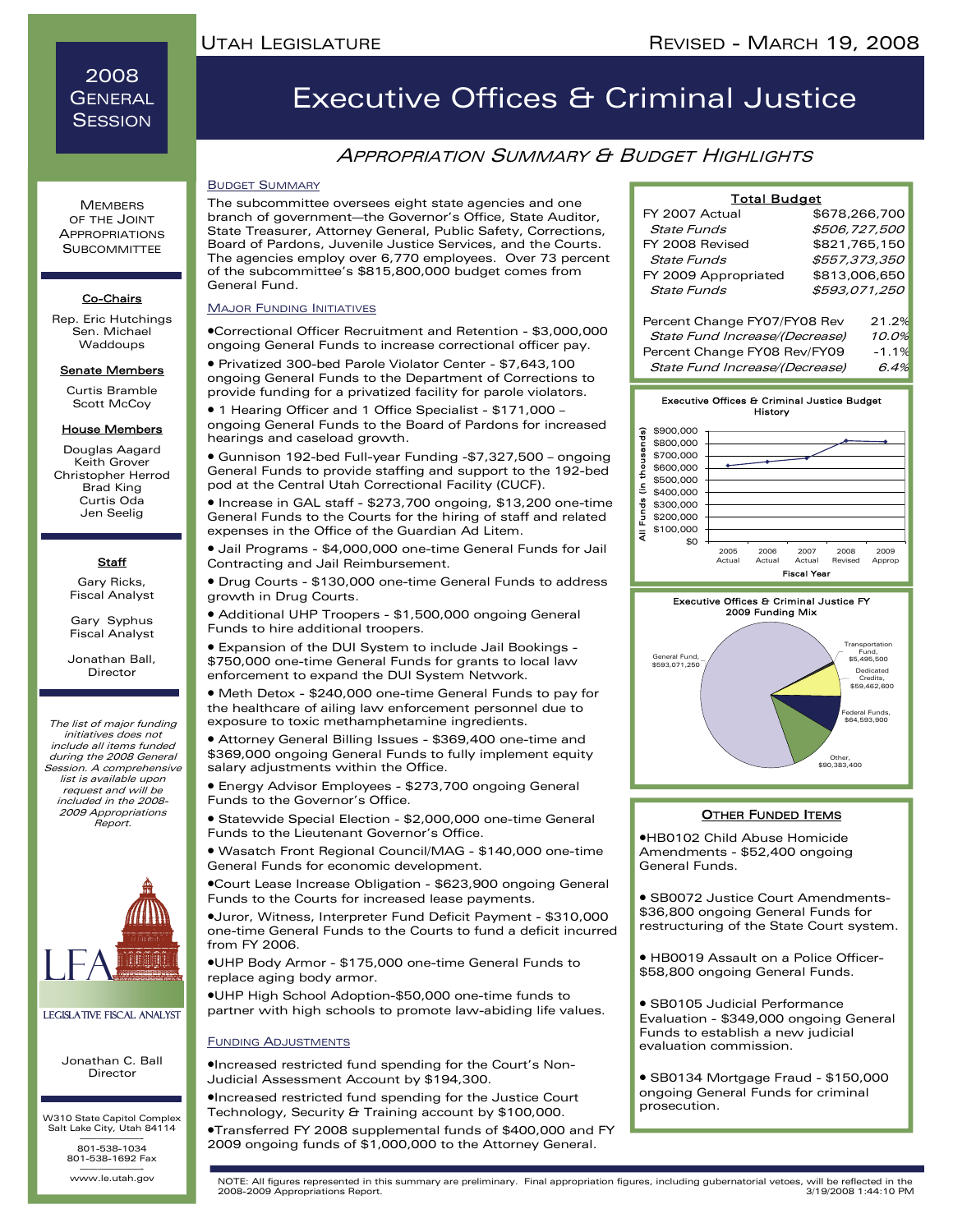### 2008 **GENERAL SESSION**

**MEMBERS** OF THE JOINT APPROPRIATIONS **SUBCOMMITTEE** 

#### Co-Chairs

Rep. Eric Hutchings Sen. Michael Waddoups

### Senate Members

Curtis Bramble Scott McCoy

#### House Members

Douglas Aagard Keith Grover Christopher Herrod Brad King Curtis Oda Jen Seelig

### **Staff**

Gary Ricks, Fiscal Analyst

Gary Syphus Fiscal Analyst Jonathan Ball, Director

The list of major funding initiatives does not include all items funded during the 2008 General Session. A comprehensive list is available upon request and will be included in the 2008- 2009 Appropriations Report.



#### Legislative Fiscal Analyst

Jonathan C. Ball Director

W310 State Capitol Complex Salt Lake City, Utah 84114 ———————- 801-538-1034

801-538-1692 Fax www.le.utah.gov

## Executive Offices & Criminal Justice

### **APPROPRIATION SUMMARY & BUDGET HIGHLIGHTS**

#### BUDGET SUMMARY

The subcommittee oversees eight state agencies and one branch of government—the Governor's Office, State Auditor, State Treasurer, Attorney General, Public Safety, Corrections, Board of Pardons, Juvenile Justice Services, and the Courts. The agencies employ over 6,770 employees. Over 73 percent of the subcommittee's \$815,800,000 budget comes from General Fund.

#### **MAJOR FUNDING INITIATIVES**

•Correctional Officer Recruitment and Retention - \$3,000,000 ongoing General Funds to increase correctional officer pay.

• Privatized 300-bed Parole Violator Center - \$7,643,100 ongoing General Funds to the Department of Corrections to provide funding for a privatized facility for parole violators.

• 1 Hearing Officer and 1 Office Specialist - \$171,000 – ongoing General Funds to the Board of Pardons for increased hearings and caseload growth.

• Gunnison 192-bed Full-year Funding -\$7,327,500 – ongoing General Funds to provide staffing and support to the 192-bed pod at the Central Utah Correctional Facility (CUCF).

• Increase in GAL staff - \$273,700 ongoing, \$13,200 one-time General Funds to the Courts for the hiring of staff and related expenses in the Office of the Guardian Ad Litem.

• Jail Programs - \$4,000,000 one-time General Funds for Jail Contracting and Jail Reimbursement.

• Drug Courts - \$130,000 one-time General Funds to address growth in Drug Courts.

• Additional UHP Troopers - \$1,500,000 ongoing General Funds to hire additional troopers.

• Expansion of the DUI System to include Jail Bookings - \$750,000 one-time General Funds for grants to local law enforcement to expand the DUI System Network.

• Meth Detox - \$240,000 one-time General Funds to pay for the healthcare of ailing law enforcement personnel due to exposure to toxic methamphetamine ingredients.

• Attorney General Billing Issues - \$369,400 one-time and \$369,000 ongoing General Funds to fully implement equity salary adjustments within the Office.

• Energy Advisor Employees - \$273,700 ongoing General Funds to the Governor's Office.

• Statewide Special Election - \$2,000,000 one-time General Funds to the Lieutenant Governor's Office.

• Wasatch Front Regional Council/MAG - \$140,000 one-time General Funds for economic development.

•Court Lease Increase Obligation - \$623,900 ongoing General Funds to the Courts for increased lease payments.

•Juror, Witness, Interpreter Fund Deficit Payment - \$310,000 one-time General Funds to the Courts to fund a deficit incurred from FY 2006.

•UHP Body Armor - \$175,000 one-time General Funds to replace aging body armor.

•UHP High School Adoption-\$50,000 one-time funds to partner with high schools to promote law-abiding life values.

#### FUNDING ADJUSTMENTS

•Increased restricted fund spending for the Court's Non-Judicial Assessment Account by \$194,300.

•Increased restricted fund spending for the Justice Court Technology, Security & Training account by \$100,000.

•Transferred FY 2008 supplemental funds of \$400,000 and FY 2009 ongoing funds of \$1,000,000 to the Attorney General.

| ˈotal Budɑet |  |
|--------------|--|
|              |  |

| FY 2007 Actual                 |               | \$678,266,700 |
|--------------------------------|---------------|---------------|
| <b>State Funds</b>             | \$506,727,500 |               |
| FY 2008 Revised                |               | \$821,765,150 |
| <b>State Funds</b>             | \$557,373,350 |               |
| FY 2009 Appropriated           | \$813,006,650 |               |
| <b>State Funds</b>             | \$593,071,250 |               |
|                                |               |               |
| Percent Change FY07/FY08 Rev   |               | 21.2%         |
| State Fund Increase/(Decrease) |               | 10.0%         |
| Percent Change EV08 Bev/EV09   |               | $-1$ 1%       |







#### **OTHER FUNDED ITEMS**

•HB0102 Child Abuse Homicide Amendments - \$52,400 ongoing General Funds.

• SB0072 Justice Court Amendments- \$36,800 ongoing General Funds for restructuring of the State Court system.

• HB0019 Assault on a Police Officer- \$58,800 ongoing General Funds.

• SB0105 Judicial Performance Evaluation - \$349,000 ongoing General Funds to establish a new judicial evaluation commission.

• SB0134 Mortgage Fraud - \$150,000 ongoing General Funds for criminal prosecution.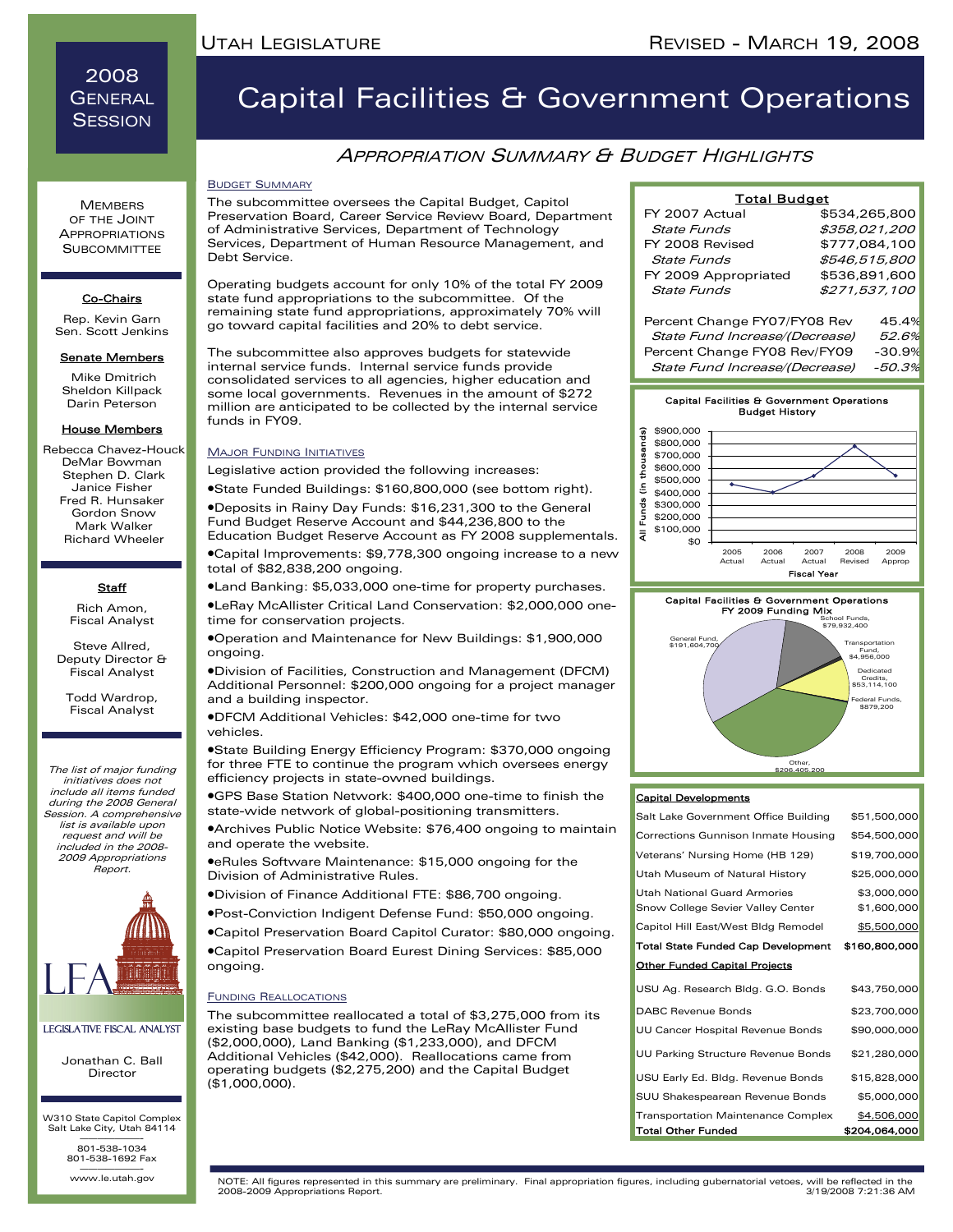2008 **GENERAL SESSION** 

# Capital Facilities & Government Operations

### APPROPRIATION SUMMARY & BUDGET HIGHLIGHTS

#### BUDGET SUMMARY

The subcommittee oversees the Capital Budget, Capitol Preservation Board, Career Service Review Board, Department of Administrative Services, Department of Technology Services, Department of Human Resource Management, and Debt Service.

Operating budgets account for only 10% of the total FY 2009 state fund appropriations to the subcommittee. Of the remaining state fund appropriations, approximately 70% will go toward capital facilities and 20% to debt service.

The subcommittee also approves budgets for statewide internal service funds. Internal service funds provide consolidated services to all agencies, higher education and some local governments. Revenues in the amount of \$272 million are anticipated to be collected by the internal service funds in FY09.

#### MAJOR FUNDING INITIATIVES

Legislative action provided the following increases:

•State Funded Buildings: \$160,800,000 (see bottom right).

•Deposits in Rainy Day Funds: \$16,231,300 to the General Fund Budget Reserve Account and \$44,236,800 to the Education Budget Reserve Account as FY 2008 supplementals.

•Capital Improvements: \$9,778,300 ongoing increase to a new total of \$82,838,200 ongoing.

•Land Banking: \$5,033,000 one-time for property purchases.

•LeRay McAllister Critical Land Conservation: \$2,000,000 onetime for conservation projects.

•Operation and Maintenance for New Buildings: \$1,900,000 ongoing.

•Division of Facilities, Construction and Management (DFCM) Additional Personnel: \$200,000 ongoing for a project manager and a building inspector.

•DFCM Additional Vehicles: \$42,000 one-time for two vehicles.

•State Building Energy Efficiency Program: \$370,000 ongoing for three FTE to continue the program which oversees energy efficiency projects in state-owned buildings.

•GPS Base Station Network: \$400,000 one-time to finish the state-wide network of global-positioning transmitters.

•Archives Public Notice Website: \$76,400 ongoing to maintain and operate the website.

•eRules Software Maintenance: \$15,000 ongoing for the Division of Administrative Rules.

•Division of Finance Additional FTE: \$86,700 ongoing.

•Post-Conviction Indigent Defense Fund: \$50,000 ongoing.

•Capitol Preservation Board Capitol Curator: \$80,000 ongoing.

•Capitol Preservation Board Eurest Dining Services: \$85,000 ongoing.

#### FUNDING REALLOCATIONS

The subcommittee reallocated a total of \$3,275,000 from its existing base budgets to fund the LeRay McAllister Fund (\$2,000,000), Land Banking (\$1,233,000), and DFCM Additional Vehicles (\$42,000). Reallocations came from operating budgets (\$2,275,200) and the Capital Budget (\$1,000,000).

| <b>Total Budget</b>            |               |  |
|--------------------------------|---------------|--|
| FY 2007 Actual                 | \$534.265.800 |  |
| State Funds                    | \$358,021,200 |  |
| FY 2008 Revised                | \$777,084,100 |  |
| State Funds                    | \$546,515,800 |  |
| FY 2009 Appropriated           | \$536,891,600 |  |
| State Funds                    | \$271,537,100 |  |
| Percent Change FY07/FY08 Rev   | 45.4%         |  |
| State Fund Increase/(Decrease) | 52.6%         |  |

Percent Change FY08 Rev/FY09 -30.9% State Fund Increase/(Decrease) -50.3%







#### Capital Developments

| <b>Total Other Funded</b>                 | \$204,064,000 |
|-------------------------------------------|---------------|
| <b>Transportation Maintenance Complex</b> | \$4,506,000   |
| SUU Shakespearean Revenue Bonds           | \$5,000,000   |
| USU Early Ed. Bldg. Revenue Bonds         | \$15,828,000  |
| UU Parking Structure Revenue Bonds        | \$21,280,000  |
| UU Cancer Hospital Revenue Bonds          | \$90,000,000  |
| DABC Revenue Bonds                        | \$23,700,000  |
| USU Ag. Research Bldg. G.O. Bonds         | \$43,750,000  |
| <b>Other Funded Capital Projects</b>      |               |
| Total State Funded Cap Development        | \$160,800,000 |
| Capitol Hill East/West Bldg Remodel       | \$5,500,000   |
| Snow College Sevier Valley Center         | \$1,600,000   |
| Utah National Guard Armories              | \$3,000,000   |
| Utah Museum of Natural History            | \$25,000,000  |
| Veterans' Nursing Home (HB 129)           | \$19,700,000  |
| Corrections Gunnison Inmate Housing       | \$54,500,000  |
| Salt Lake Government Office Building      | \$51,500,000  |

www.le.utah.gov NOTE: All figures represented in this summary are preliminary. Final appropriation figures, including gubernatorial vetoes, will be reflected in the 2008-2009 Appropriations Report.

APPROPRIATIONS **SUBCOMMITTEE** 

**MEMBERS** OF THE JOINT

#### Co-Chairs

Rep. Kevin Garn Sen. Scott Jenkins

#### Senate Members

 Mike Dmitrich Sheldon Killpack Darin Peterson

#### House Members

 Rebecca Chavez-Houck DeMar Bowman Stephen D. Clark Janice Fisher Fred R. Hunsaker Gordon Snow Mark Walker Richard Wheeler

### **Staff**

Rich Amon, Fiscal Analyst

Steve Allred, Deputy Director & Fiscal Analyst

Todd Wardrop, Fiscal Analyst

The list of major funding initiatives does not include all items funded during the 2008 General Session. A comprehensive list is available upon request and will be included in the 2008- 2009 Appropriations Report.



Legislative Fiscal Analyst

Jonathan C. Ball Director

W310 State Capitol Complex Salt Lake City, Utah 84114 ———————- 801-538-1034

801-538-1692 Fax www.le.utah.gov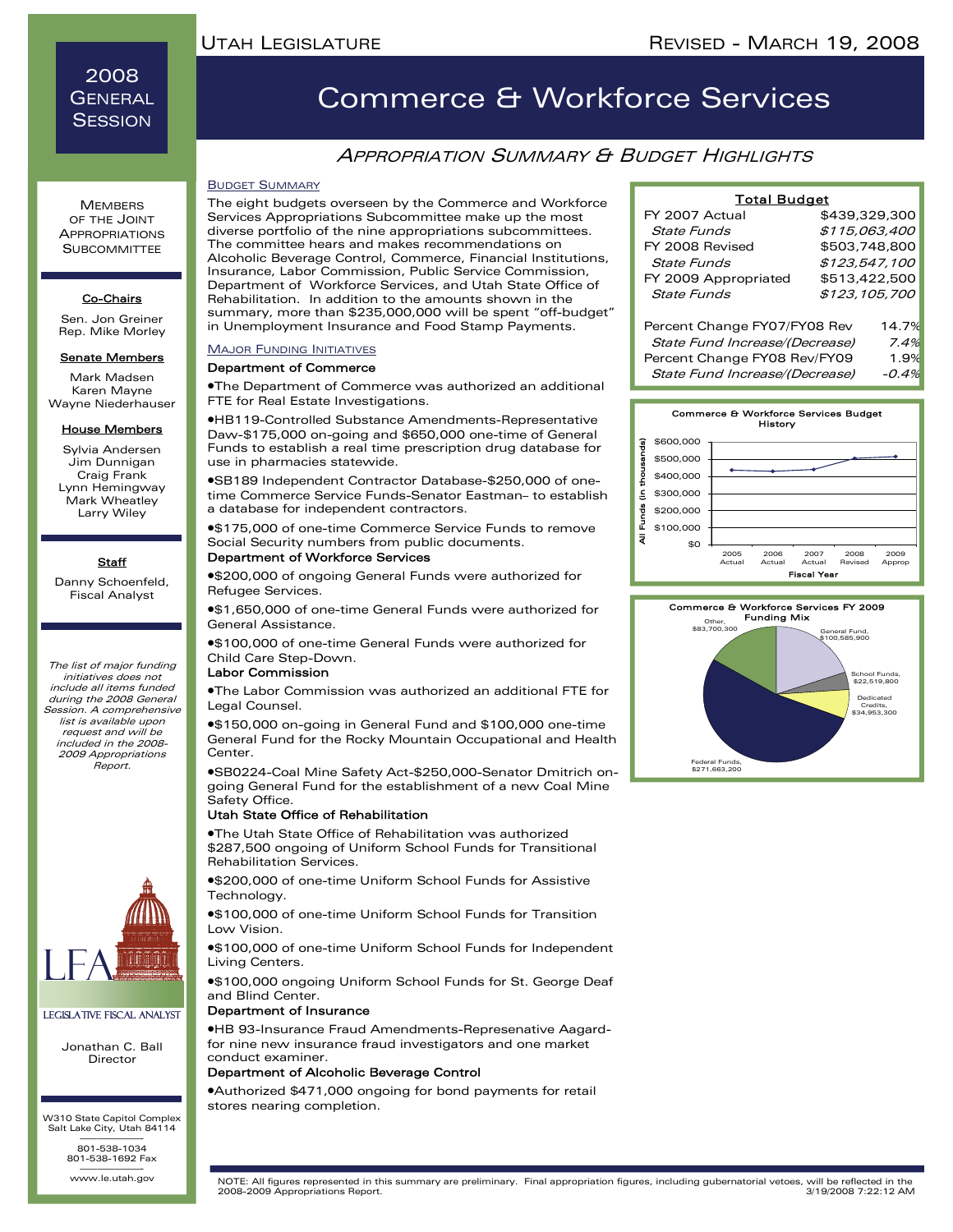### 2008 **GENERAL SESSION**

**MEMBERS** OF THE JOINT APPROPRIATIONS **SUBCOMMITTEE** 

#### Co-Chairs

Sen. Jon Greiner Rep. Mike Morley

#### Senate Members

Mark Madsen Karen Mayne Wayne Niederhauser

#### House Members

Sylvia Andersen Jim Dunnigan Craig Frank Lynn Hemingway Mark Wheatley Larry Wiley

#### **Staff**

Danny Schoenfeld, Fiscal Analyst

The list of major funding initiatives does not include all items funded during the 2008 General Session. A comprehensive list is available upon request and will be included in the 2008- 2009 Appropriations Report.



#### Legislative Fiscal Analyst

Jonathan C. Ball Director

W310 State Capitol Complex Salt Lake City, Utah 84114 ———————- 801-538-1034

801-538-1692 Fax www.le.utah.gov

# Commerce & Workforce Services

## APPROPRIATION SUMMARY & BUDGET HIGHLIGHTS

#### BUDGET SUMMARY

The eight budgets overseen by the Commerce and Workforce Services Appropriations Subcommittee make up the most diverse portfolio of the nine appropriations subcommittees. The committee hears and makes recommendations on Alcoholic Beverage Control, Commerce, Financial Institutions, Insurance, Labor Commission, Public Service Commission, Department of Workforce Services, and Utah State Office of Rehabilitation. In addition to the amounts shown in the summary, more than \$235,000,000 will be spent "off-budget" in Unemployment Insurance and Food Stamp Payments.

#### **MAJOR FUNDING INITIATIVES**

#### Department of Commerce

•The Department of Commerce was authorized an additional FTE for Real Estate Investigations.

•HB119-Controlled Substance Amendments-Representative Daw-\$175,000 on-going and \$650,000 one-time of General Funds to establish a real time prescription drug database for use in pharmacies statewide.

•SB189 Independent Contractor Database-\$250,000 of onetime Commerce Service Funds-Senator Eastman– to establish a database for independent contractors.

•\$175,000 of one-time Commerce Service Funds to remove Social Security numbers from public documents.

#### Department of Workforce Services

•\$200,000 of ongoing General Funds were authorized for Refugee Services.

•\$1,650,000 of one-time General Funds were authorized for General Assistance.

•\$100,000 of one-time General Funds were authorized for Child Care Step-Down.

#### Labor Commission

•The Labor Commission was authorized an additional FTE for Legal Counsel.

•\$150,000 on-going in General Fund and \$100,000 one-time General Fund for the Rocky Mountain Occupational and Health Center.

•SB0224-Coal Mine Safety Act-\$250,000-Senator Dmitrich ongoing General Fund for the establishment of a new Coal Mine Safety Office.

#### Utah State Office of Rehabilitation

•The Utah State Office of Rehabilitation was authorized \$287,500 ongoing of Uniform School Funds for Transitional Rehabilitation Services.

•\$200,000 of one-time Uniform School Funds for Assistive Technology.

•\$100,000 of one-time Uniform School Funds for Transition Low Vision.

•\$100,000 of one-time Uniform School Funds for Independent Living Centers.

•\$100,000 ongoing Uniform School Funds for St. George Deaf and Blind Center.

#### Department of Insurance

•HB 93-Insurance Fraud Amendments-Represenative Aagardfor nine new insurance fraud investigators and one market conduct examiner.

#### Department of Alcoholic Beverage Control

•Authorized \$471,000 ongoing for bond payments for retail stores nearing completion.

| <b>Total Budget</b>            |               |       |
|--------------------------------|---------------|-------|
| FY 2007 Actual                 | \$439,329,300 |       |
| State Funds                    | \$115,063,400 |       |
| FY 2008 Revised                | \$503.748.800 |       |
| State Funds                    | \$123,547,100 |       |
| FY 2009 Appropriated           | \$513,422,500 |       |
| State Funds                    | \$123,105,700 |       |
|                                |               |       |
| Percent Change FY07/FY08 Rev   |               | 14.7% |
| State Fund Increase/(Decrease) |               | 7.4%  |
| Percent Change FY08 Rev/FY09   |               | 1.9%  |
| State Fund Increase/(Decrease) |               | -0.4% |



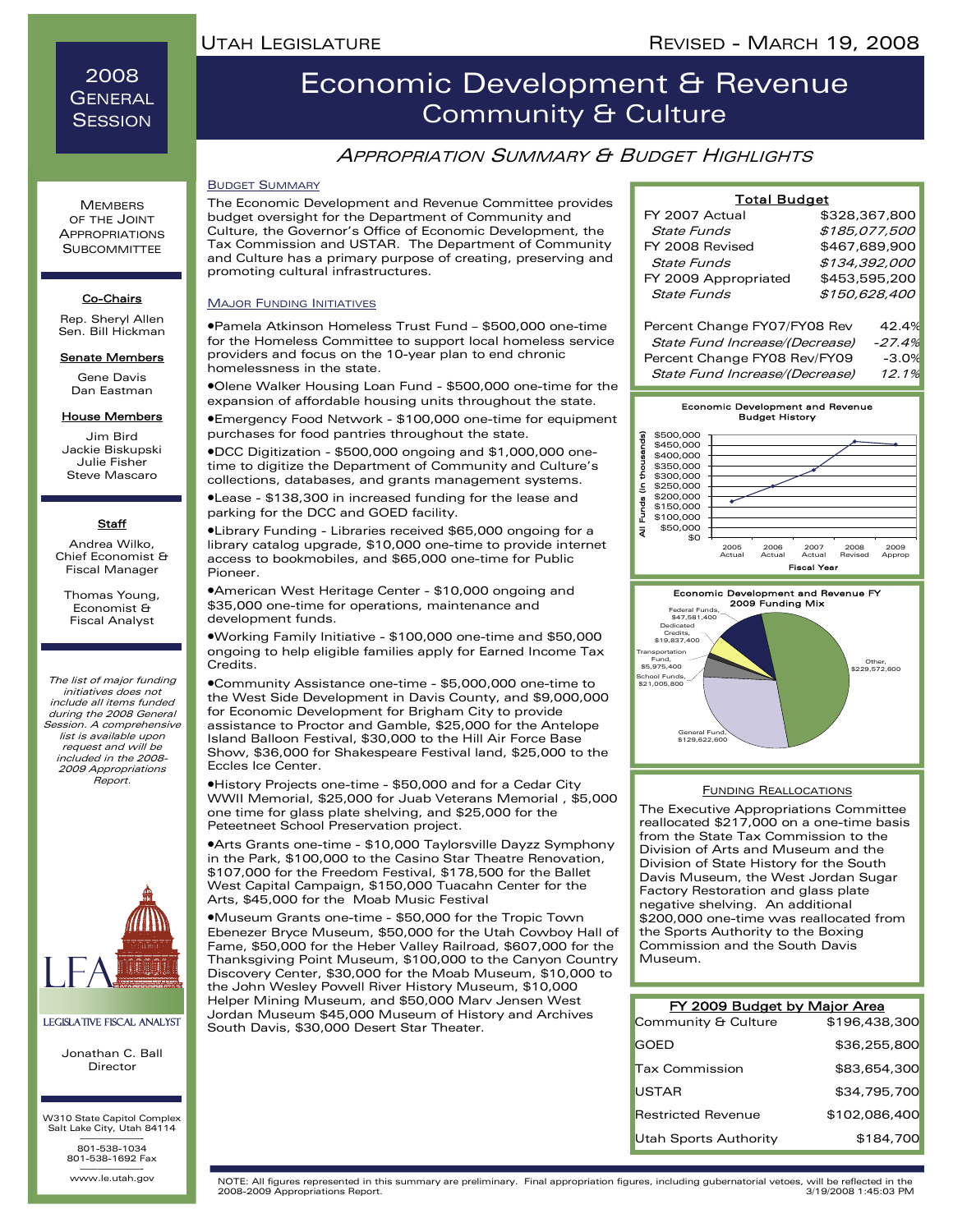2008 **GENERAL SESSION** 

**MEMBERS** OF THE JOINT APPROPRIATIONS **SUBCOMMITTEE** 

## Economic Development & Revenue Community & Culture

### APPROPRIATION SUMMARY & BUDGET HIGHLIGHTS

#### BUDGET SUMMARY

budget oversight for the Department of Community and Culture, the Governor's Office of Economic Development, the Tax Commission and USTAR. The Department of Community and Culture has a primary purpose of creating, preserving and promoting cultural infrastructures.

Co-Chairs Rep. Sheryl Allen Sen. Bill Hickman

Senate Members

Gene Davis Dan Eastman

#### **House Members**

Jim Bird Jackie Biskupski Julie Fisher Steve Mascaro

#### **Staff**

Andrea Wilko, Chief Economist & Fiscal Manager

Thomas Young, Economist & Fiscal Analyst

The list of major funding initiatives does not include all items funded during the 2008 General Session. A comprehensive list is available upon request and will be included in the 2008- 2009 Appropriations Report.



#### Legislative Fiscal Analyst

Jonathan C. Ball Director

W310 State Capitol Complex Salt Lake City, Utah 84114 ———————- 801-538-1034 801-538-1692 Fax

www.le.utah.gov

The Economic Development and Revenue Committee provides

#### **MAJOR FUNDING INITIATIVES**

•Pamela Atkinson Homeless Trust Fund – \$500,000 one-time for the Homeless Committee to support local homeless service providers and focus on the 10-year plan to end chronic homelessness in the state.

•Olene Walker Housing Loan Fund - \$500,000 one-time for the expansion of affordable housing units throughout the state.

•Emergency Food Network - \$100,000 one-time for equipment purchases for food pantries throughout the state.

•DCC Digitization - \$500,000 ongoing and \$1,000,000 onetime to digitize the Department of Community and Culture's collections, databases, and grants management systems.

•Lease - \$138,300 in increased funding for the lease and parking for the DCC and GOED facility.

•Library Funding - Libraries received \$65,000 ongoing for a library catalog upgrade, \$10,000 one-time to provide internet access to bookmobiles, and \$65,000 one-time for Public Pioneer.

•American West Heritage Center - \$10,000 ongoing and \$35,000 one-time for operations, maintenance and development funds.

•Working Family Initiative - \$100,000 one-time and \$50,000 ongoing to help eligible families apply for Earned Income Tax Credits.

•Community Assistance one-time - \$5,000,000 one-time to the West Side Development in Davis County, and \$9,000,000 for Economic Development for Brigham City to provide assistance to Proctor and Gamble, \$25,000 for the Antelope Island Balloon Festival, \$30,000 to the Hill Air Force Base Show, \$36,000 for Shakespeare Festival land, \$25,000 to the Eccles Ice Center.

•History Projects one-time - \$50,000 and for a Cedar City WWII Memorial, \$25,000 for Juab Veterans Memorial , \$5,000 one time for glass plate shelving, and \$25,000 for the Peteetneet School Preservation project.

•Arts Grants one-time - \$10,000 Taylorsville Dayzz Symphony in the Park, \$100,000 to the Casino Star Theatre Renovation, \$107,000 for the Freedom Festival, \$178,500 for the Ballet West Capital Campaign, \$150,000 Tuacahn Center for the Arts, \$45,000 for the Moab Music Festival

•Museum Grants one-time - \$50,000 for the Tropic Town Ebenezer Bryce Museum, \$50,000 for the Utah Cowboy Hall of Fame, \$50,000 for the Heber Valley Railroad, \$607,000 for the Thanksgiving Point Museum, \$100,000 to the Canyon Country Discovery Center, \$30,000 for the Moab Museum, \$10,000 to the John Wesley Powell River History Museum, \$10,000 Helper Mining Museum, and \$50,000 Marv Jensen West Jordan Museum \$45,000 Museum of History and Archives South Davis, \$30,000 Desert Star Theater.

| <b>Total Budget</b>            |               |  |  |
|--------------------------------|---------------|--|--|
| FY 2007 Actual                 | \$328,367,800 |  |  |
| State Funds                    | \$185,077,500 |  |  |
| FY 2008 Revised                | \$467.689.900 |  |  |
| <b>State Funds</b>             | \$134.392.000 |  |  |
| FY 2009 Appropriated           | \$453.595.200 |  |  |
| State Funds                    | \$150,628,400 |  |  |
| Percent Change FY07/FY08 Rev   | 42.4%         |  |  |
| State Fund Increase/(Decrease) | $-27.4%$      |  |  |
|                                |               |  |  |

- Percent Change FY08 Rev/FY09 -3.0%
- State Fund Increase/(Decrease) 12.1%



#### FUNDING REALLOCATIONS

The Executive Appropriations Committee reallocated \$217,000 on a one-time basis from the State Tax Commission to the Division of Arts and Museum and the Division of State History for the South Davis Museum, the West Jordan Sugar Factory Restoration and glass plate negative shelving. An additional \$200,000 one-time was reallocated from the Sports Authority to the Boxing Commission and the South Davis Museum.

| FY 2009 Budget by Major Area |               |
|------------------------------|---------------|
| Community & Culture          | \$196,438,300 |
| <b>GOED</b>                  | \$36,255,800  |
| <b>Tax Commission</b>        | \$83,654,300  |
| USTAR                        | \$34,795,700  |
| <b>Restricted Revenue</b>    | \$102.086.400 |
| Utah Sports Authority        | \$184,700     |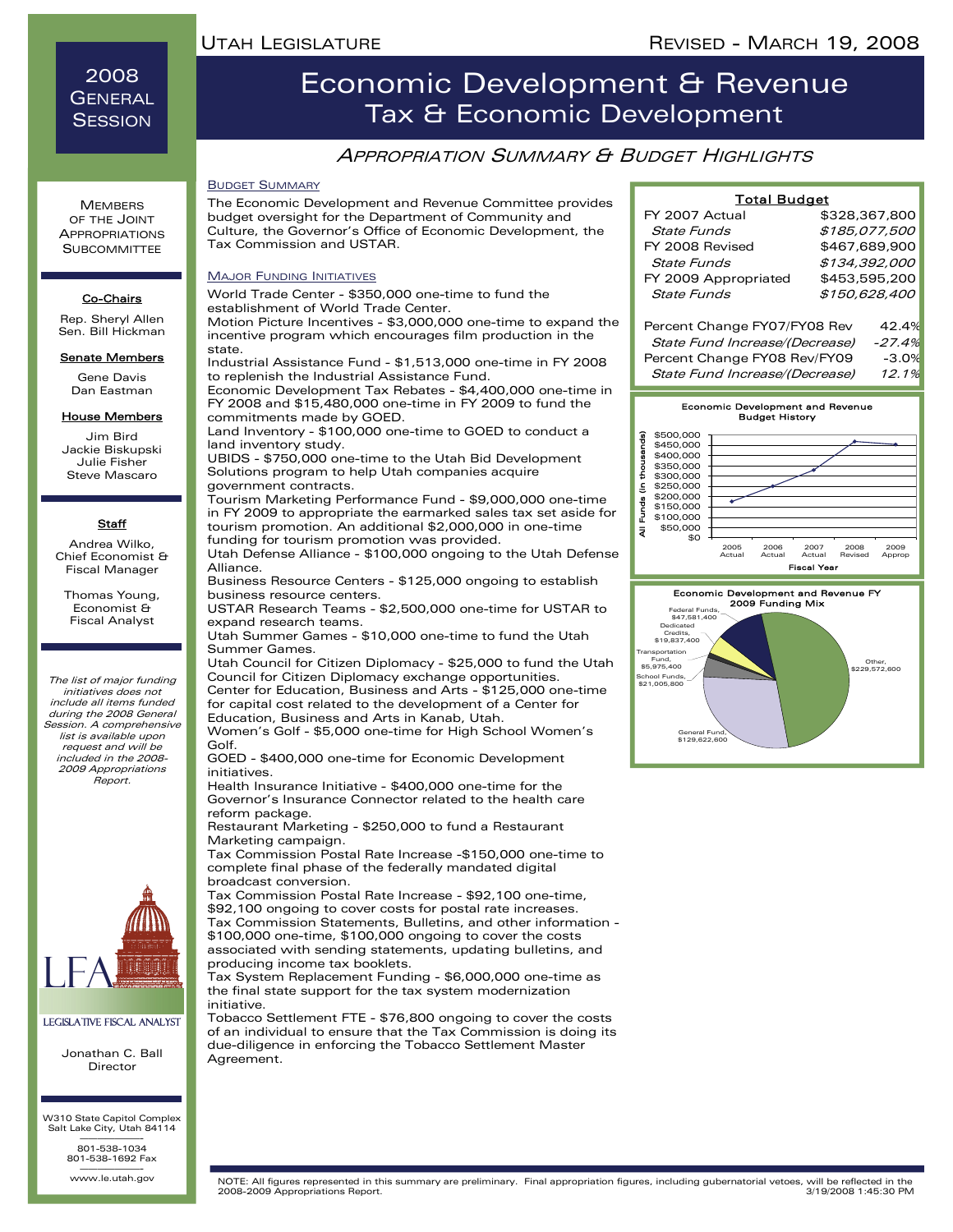2008 **GENERAL SESSION** 

**MEMBERS** OF THE JOINT APPROPRIATIONS **SUBCOMMITTEE** 

Co-Chairs Rep. Sheryl Allen Sen. Bill Hickman Senate Members Gene Davis Dan Eastman House Members Jim Bird Jackie Biskupski Julie Fisher Steve Mascaro

**Staff** Andrea Wilko, Chief Economist & Fiscal Manager Thomas Young, Economist & Fiscal Analyst

The list of major funding initiatives does not include all items funded during the 2008 General Session. A comprehensive list is available upon request and will be included in the 2008- 2009 Appropriations Report.

## Economic Development & Revenue Tax & Economic Development

### APPROPRIATION SUMMARY & BUDGET HIGHLIGHTS

#### BUDGET SUMMARY

The Economic Development and Revenue Committee provides budget oversight for the Department of Community and Culture, the Governor's Office of Economic Development, the Tax Commission and USTAR.

#### MAJOR FUNDING INITIATIVES

World Trade Center - \$350,000 one-time to fund the establishment of World Trade Center.

Motion Picture Incentives - \$3,000,000 one-time to expand the incentive program which encourages film production in the state.

Industrial Assistance Fund - \$1,513,000 one-time in FY 2008 to replenish the Industrial Assistance Fund.

Economic Development Tax Rebates - \$4,400,000 one-time in FY 2008 and \$15,480,000 one-time in FY 2009 to fund the commitments made by GOED.

Land Inventory - \$100,000 one-time to GOED to conduct a land inventory study.

UBIDS - \$750,000 one-time to the Utah Bid Development Solutions program to help Utah companies acquire government contracts.

Tourism Marketing Performance Fund - \$9,000,000 one-time in FY 2009 to appropriate the earmarked sales tax set aside for tourism promotion. An additional \$2,000,000 in one-time funding for tourism promotion was provided.

Utah Defense Alliance - \$100,000 ongoing to the Utah Defense Alliance.

Business Resource Centers - \$125,000 ongoing to establish business resource centers.

USTAR Research Teams - \$2,500,000 one-time for USTAR to expand research teams.

Utah Summer Games - \$10,000 one-time to fund the Utah Summer Games.

Utah Council for Citizen Diplomacy - \$25,000 to fund the Utah Council for Citizen Diplomacy exchange opportunities. Center for Education, Business and Arts - \$125,000 one-time for capital cost related to the development of a Center for Education, Business and Arts in Kanab, Utah.

Women's Golf - \$5,000 one-time for High School Women's Golf.

GOED - \$400,000 one-time for Economic Development initiatives.

Health Insurance Initiative - \$400,000 one-time for the Governor's Insurance Connector related to the health care reform package.

Restaurant Marketing - \$250,000 to fund a Restaurant Marketing campaign.

Tax Commission Postal Rate Increase -\$150,000 one-time to complete final phase of the federally mandated digital broadcast conversion.

Tax Commission Postal Rate Increase - \$92,100 one-time, \$92,100 ongoing to cover costs for postal rate increases. Tax Commission Statements, Bulletins, and other information - \$100,000 one-time, \$100,000 ongoing to cover the costs associated with sending statements, updating bulletins, and producing income tax booklets.

Tax System Replacement Funding - \$6,000,000 one-time as the final state support for the tax system modernization initiative.

Tobacco Settlement FTE - \$76,800 ongoing to cover the costs of an individual to ensure that the Tax Commission is doing its due-diligence in enforcing the Tobacco Settlement Master Agreement.

| <b>Total Budget</b>             |               |  |
|---------------------------------|---------------|--|
| FY 2007 Actual                  | \$328,367,800 |  |
| State Funds                     | \$185,077,500 |  |
| FY 2008 Revised                 | \$467,689,900 |  |
| State Funds                     | \$134,392,000 |  |
| FY 2009 Appropriated            | \$453,595,200 |  |
| <b>State Funds</b>              | \$150,628,400 |  |
| Percent Change FY07/FY08 Rev    | 42.4%         |  |
| Ctate Eund Inergaca//Degregacal | 27,000        |  |

ate Fund Incre Percent Change FY08 Rev/FY09 -3.0% State Fund Increase/(Decrease) 12.1%





#### Legislative Fiscal Analyst

Jonathan C. Ball Director

W310 State Capitol Complex Salt Lake City, Utah 84114 ———————- 801-538-1034

801-538-1692 Fax www.le.utah.gov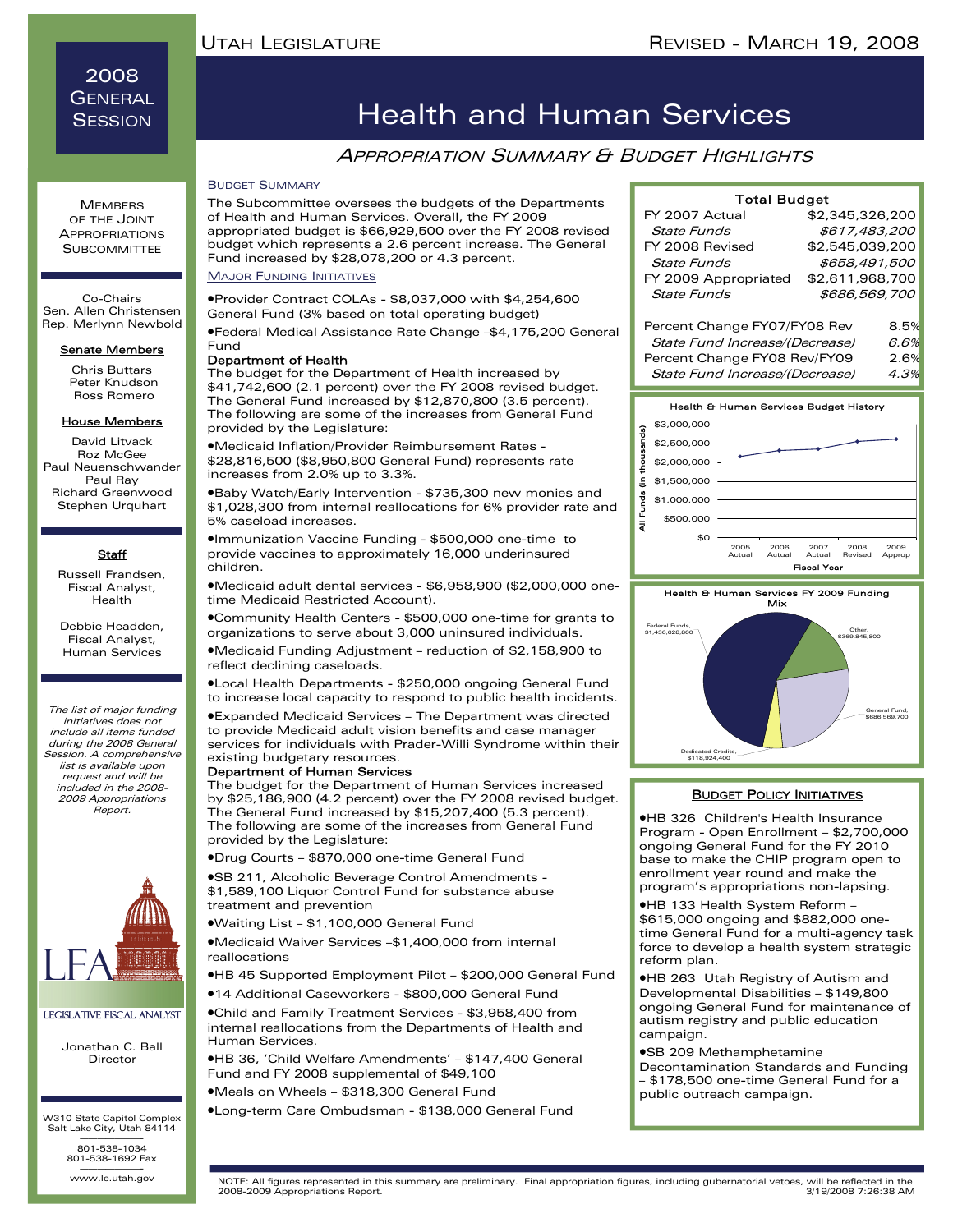### 2008 **GENERAL SESSION**

**MEMBERS** OF THE JOINT APPROPRIATIONS **SUBCOMMITTEE** 

Co-Chairs Sen. Allen Christensen Rep. Merlynn Newbold

#### Senate Members

Chris Buttars Peter Knudson Ross Romero

#### House Members

David Litvack Roz McGee Paul Neuenschwander Paul Ray Richard Greenwood Stephen Urquhart

#### **Staff**

Russell Frandsen, Fiscal Analyst, Health

Debbie Headden, Fiscal Analyst, Human Services

The list of major funding initiatives does not include all items funded during the 2008 General Session. A comprehensive list is available upon request and will be included in the 2008- 2009 Appropriations Report.



#### Legislative Fiscal Analyst

Jonathan C. Ball Director

W310 State Capitol Complex Salt Lake City, Utah 84114 ———————- 801-538-1034 801-538-1692 Fax

www.le.utah.gov

## Health and Human Services

### APPROPRIATION SUMMARY & BUDGET HIGHLIGHTS

#### BUDGET SUMMARY

The Subcommittee oversees the budgets of the Departments of Health and Human Services. Overall, the FY 2009 appropriated budget is \$66,929,500 over the FY 2008 revised budget which represents a 2.6 percent increase. The General Fund increased by \$28,078,200 or 4.3 percent.

#### MAJOR FUNDING INITIATIVES

•Provider Contract COLAs - \$8,037,000 with \$4,254,600 General Fund (3% based on total operating budget)

•Federal Medical Assistance Rate Change –\$4,175,200 General Fund

#### Department of Health

The budget for the Department of Health increased by \$41,742,600 (2.1 percent) over the FY 2008 revised budget. The General Fund increased by \$12,870,800 (3.5 percent). The following are some of the increases from General Fund provided by the Legislature:

•Medicaid Inflation/Provider Reimbursement Rates - \$28,816,500 (\$8,950,800 General Fund) represents rate increases from 2.0% up to 3.3%.

•Baby Watch/Early Intervention - \$735,300 new monies and \$1,028,300 from internal reallocations for 6% provider rate and 5% caseload increases.

•Immunization Vaccine Funding - \$500,000 one-time to provide vaccines to approximately 16,000 underinsured children.

•Medicaid adult dental services - \$6,958,900 (\$2,000,000 onetime Medicaid Restricted Account).

•Community Health Centers - \$500,000 one-time for grants to organizations to serve about 3,000 uninsured individuals.

•Medicaid Funding Adjustment – reduction of \$2,158,900 to reflect declining caseloads.

•Local Health Departments - \$250,000 ongoing General Fund to increase local capacity to respond to public health incidents.

•Expanded Medicaid Services – The Department was directed to provide Medicaid adult vision benefits and case manager services for individuals with Prader-Willi Syndrome within their existing budgetary resources.

#### Department of Human Services

Human Services.

The budget for the Department of Human Services increased by \$25,186,900 (4.2 percent) over the FY 2008 revised budget. The General Fund increased by \$15,207,400 (5.3 percent). The following are some of the increases from General Fund provided by the Legislature:

•Drug Courts – \$870,000 one-time General Fund

•SB 211, Alcoholic Beverage Control Amendments - \$1,589,100 Liquor Control Fund for substance abuse treatment and prevention

•Waiting List – \$1,100,000 General Fund

•Medicaid Waiver Services –\$1,400,000 from internal reallocations

•HB 45 Supported Employment Pilot – \$200,000 General Fund

•14 Additional Caseworkers - \$800,000 General Fund •Child and Family Treatment Services - \$3,958,400 from internal reallocations from the Departments of Health and

•HB 36, 'Child Welfare Amendments' – \$147,400 General Fund and FY 2008 supplemental of \$49,100

•Meals on Wheels – \$318,300 General Fund

•Long-term Care Ombudsman - \$138,000 General Fund

| <b>Total Budget</b>            |                 |      |
|--------------------------------|-----------------|------|
| FY 2007 Actual                 | \$2,345,326,200 |      |
| State Funds                    | \$617.483.200   |      |
| FY 2008 Revised                | \$2,545,039,200 |      |
| State Funds                    | \$658,491,500   |      |
| FY 2009 Appropriated           | \$2,611,968,700 |      |
| State Funds                    | \$686.569,700   |      |
| Percent Change FY07/FY08 Rev   |                 | 8.5% |
| State Fund Increase/(Decrease) |                 | 6.6% |

Percent Change FY08 Rev/FY09 2.6%

State Fund Increase/(Decrease) 4.3%





### **BUDGET POLICY INITIATIVES**

•HB 326 Children's Health Insurance Program - Open Enrollment – \$2,700,000 ongoing General Fund for the FY 2010 base to make the CHIP program open to enrollment year round and make the program's appropriations non-lapsing.

•HB 133 Health System Reform – \$615,000 ongoing and \$882,000 onetime General Fund for a multi-agency task force to develop a health system strategic reform plan.

•HB 263 Utah Registry of Autism and Developmental Disabilities – \$149,800 ongoing General Fund for maintenance of autism registry and public education campaign.

#### •SB 209 Methamphetamine

Decontamination Standards and Funding – \$178,500 one-time General Fund for a public outreach campaign.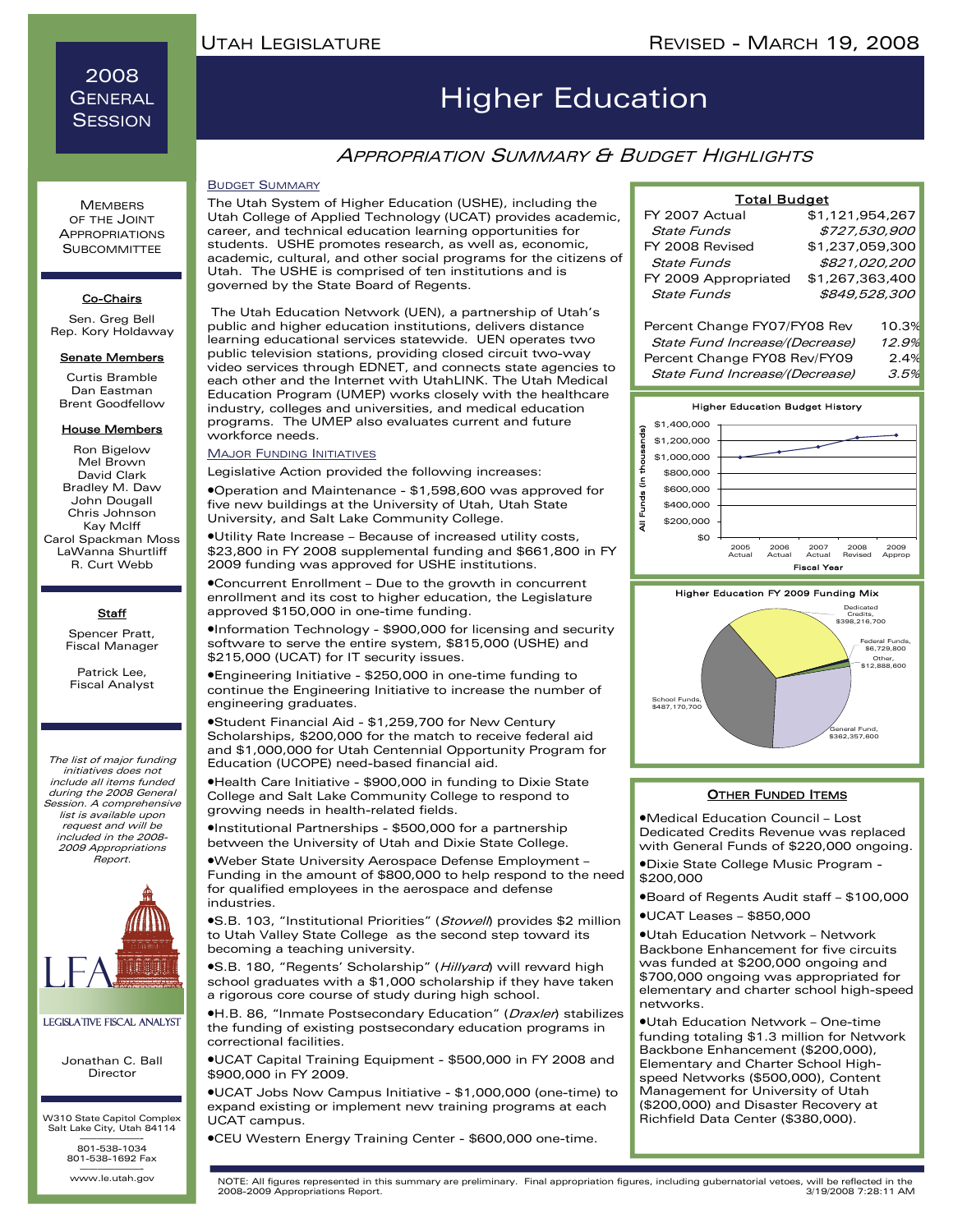2008 **GENERAL SESSION** 

# Higher Education

### **APPROPRIATION SUMMARY & BUDGET HIGHLIGHTS**

#### BUDGET SUMMARY

The Utah System of Higher Education (USHE), including the Utah College of Applied Technology (UCAT) provides academic, career, and technical education learning opportunities for students. USHE promotes research, as well as, economic, academic, cultural, and other social programs for the citizens of Utah. The USHE is comprised of ten institutions and is governed by the State Board of Regents.

The Utah Education Network (UEN), a partnership of Utah's public and higher education institutions, delivers distance learning educational services statewide. UEN operates two public television stations, providing closed circuit two-way video services through EDNET, and connects state agencies to each other and the Internet with UtahLINK. The Utah Medical Education Program (UMEP) works closely with the healthcare industry, colleges and universities, and medical education programs. The UMEP also evaluates current and future workforce needs.

#### **MAJOR FUNDING INITIATIVES**

Legislative Action provided the following increases:

•Operation and Maintenance - \$1,598,600 was approved for five new buildings at the University of Utah, Utah State University, and Salt Lake Community College.

•Utility Rate Increase – Because of increased utility costs, \$23,800 in FY 2008 supplemental funding and \$661,800 in FY 2009 funding was approved for USHE institutions.

•Concurrent Enrollment – Due to the growth in concurrent enrollment and its cost to higher education, the Legislature approved \$150,000 in one-time funding.

•Information Technology - \$900,000 for licensing and security software to serve the entire system, \$815,000 (USHE) and \$215,000 (UCAT) for IT security issues.

•Engineering Initiative - \$250,000 in one-time funding to continue the Engineering Initiative to increase the number of engineering graduates.

•Student Financial Aid - \$1,259,700 for New Century Scholarships, \$200,000 for the match to receive federal aid and \$1,000,000 for Utah Centennial Opportunity Program for Education (UCOPE) need-based financial aid.

•Health Care Initiative - \$900,000 in funding to Dixie State College and Salt Lake Community College to respond to growing needs in health-related fields.

•Institutional Partnerships - \$500,000 for a partnership between the University of Utah and Dixie State College.

•Weber State University Aerospace Defense Employment – Funding in the amount of \$800,000 to help respond to the need for qualified employees in the aerospace and defense industries.

**•S.B. 103, "Institutional Priorities" (Stowell) provides \$2 million** to Utah Valley State College as the second step toward its becoming a teaching university.

**•S.B. 180, "Regents' Scholarship" (Hillyard) will reward high** school graduates with a \$1,000 scholarship if they have taken a rigorous core course of study during high school.

**•H.B. 86, "Inmate Postsecondary Education" (Draxler) stabilizes** the funding of existing postsecondary education programs in correctional facilities.

•UCAT Capital Training Equipment - \$500,000 in FY 2008 and \$900,000 in FY 2009.

•UCAT Jobs Now Campus Initiative - \$1,000,000 (one-time) to expand existing or implement new training programs at each UCAT campus.

•CEU Western Energy Training Center - \$600,000 one-time.

| <b>State Funds</b>             | \$727,530,900   |       |
|--------------------------------|-----------------|-------|
| FY 2008 Revised                | \$1,237,059,300 |       |
| <b>State Funds</b>             | \$821,020,200   |       |
| FY 2009 Appropriated           | \$1,267,363,400 |       |
| <b>State Funds</b>             | \$849,528,300   |       |
|                                |                 |       |
| Percent Change FY07/FY08 Rev   |                 | 10.3% |
| State Fund Increase/(Decrease) |                 | 12.9% |
|                                |                 |       |

Total Budget

\$1,121,954,267

FY 2007 Actual

Percent Change FY08 Rev/FY09 2.4% State Fund Increase/(Decrease) 3.5%





#### **OTHER FUNDED ITEMS**

•Medical Education Council – Lost Dedicated Credits Revenue was replaced with General Funds of \$220,000 ongoing.

•Dixie State College Music Program - \$200,000

•Board of Regents Audit staff – \$100,000

•UCAT Leases – \$850,000

•Utah Education Network – Network Backbone Enhancement for five circuits was funded at \$200,000 ongoing and \$700,000 ongoing was appropriated for elementary and charter school high-speed networks.

•Utah Education Network – One-time funding totaling \$1.3 million for Network Backbone Enhancement (\$200,000), Elementary and Charter School Highspeed Networks (\$500,000), Content Management for University of Utah (\$200,000) and Disaster Recovery at Richfield Data Center (\$380,000).

**MEMBERS** OF THE JOINT APPROPRIATIONS **SUBCOMMITTEE** 

#### Co-Chairs

Sen. Greg Bell Rep. Kory Holdaway

#### **Senate Members**

Curtis Bramble Dan Eastman Brent Goodfellow

#### House Members

Ron Bigelow Mel Brown David Clark Bradley M. Daw John Dougall Chris Johnson Kay Mclff Carol Spackman Moss LaWanna Shurtliff R. Curt Webb

#### **Staff**

Spencer Pratt, Fiscal Manager

Patrick Lee, Fiscal Analyst

The list of major funding initiatives does not include all items funded during the 2008 General Session. A comprehensive list is available upon request and will be included in the 2008- 2009 Appropriations Report.



#### Legislative Fiscal Analyst

Jonathan C. Ball Director

W310 State Capitol Complex Salt Lake City, Utah 84114 ———————- 801-538-1034

801-538-1692 Fax

www.le.utah.gov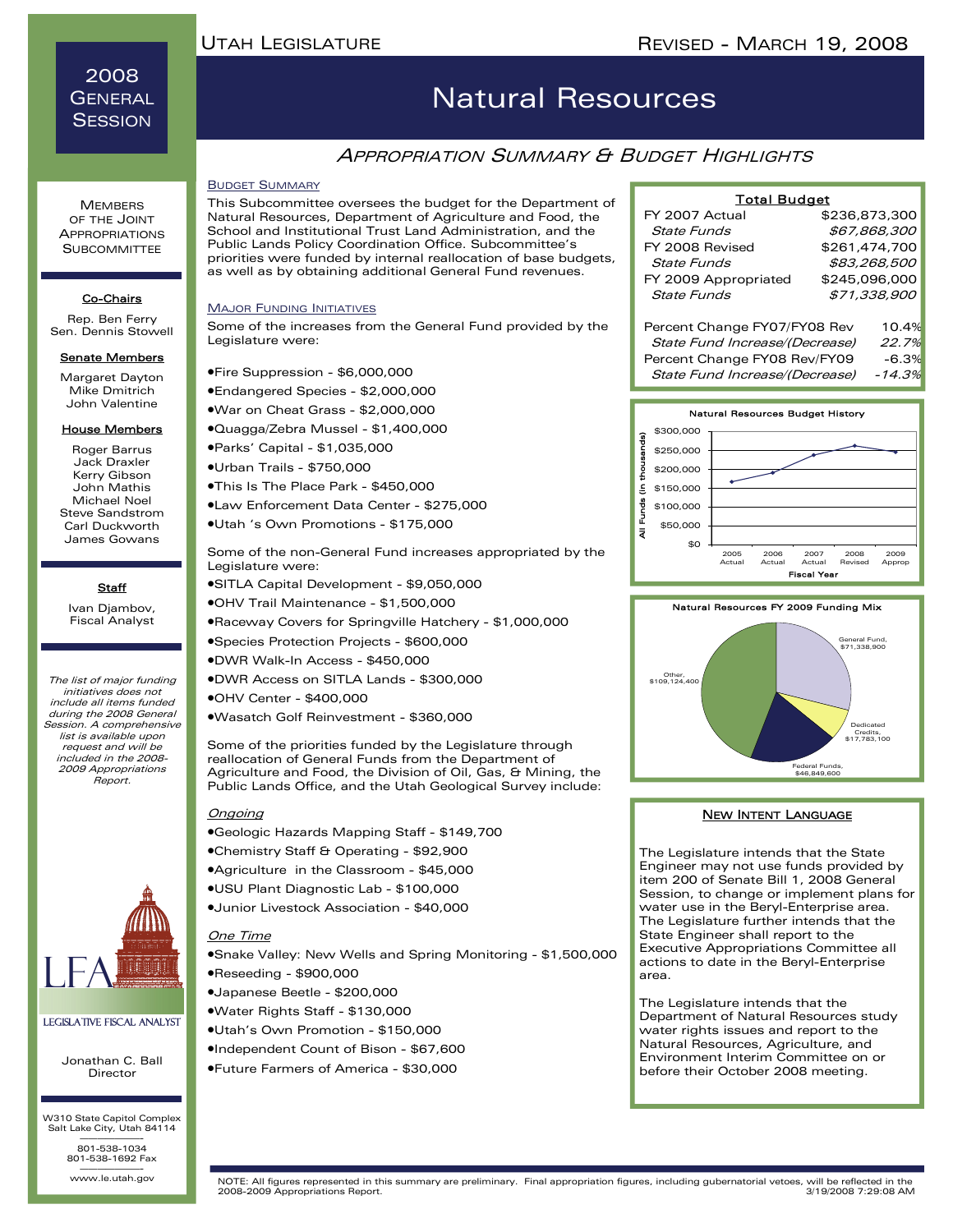### 2008 GENERAL **SESSION**

**MEMBERS** OF THE JOINT APPROPRIATIONS **SUBCOMMITTEE** 

Co-Chairs Rep. Ben Ferry Sen. Dennis Stowell Senate Members Margaret Dayton Mike Dmitrich

House Members Roger Barrus Jack Draxler Kerry Gibson John Mathis Michael Noel Steve Sandstrom Carl Duckworth James Gowans

**Staff** Ivan Djambov, Fiscal Analyst

# Natural Resources

## **APPROPRIATION SUMMARY & BUDGET HIGHLIGHTS**

#### BUDGET SUMMARY

This Subcommittee oversees the budget for the Department of Natural Resources, Department of Agriculture and Food, the School and Institutional Trust Land Administration, and the Public Lands Policy Coordination Office. Subcommittee's priorities were funded by internal reallocation of base budgets, as well as by obtaining additional General Fund revenues.

#### **MAJOR FUNDING INITIATIVES**

Some of the increases from the General Fund provided by the Legislature were:

- •Fire Suppression \$6,000,000
- •Endangered Species \$2,000,000
- John Valentine •War on Cheat Grass - \$2,000,000
	- •Quagga/Zebra Mussel \$1,400,000

•Parks' Capital - \$1,035,000

- •Urban Trails \$750,000
- •This Is The Place Park \$450,000
- •Law Enforcement Data Center \$275,000
- •Utah 's Own Promotions \$175,000

Some of the non-General Fund increases appropriated by the Legislature were:

- •SITLA Capital Development \$9,050,000
- •OHV Trail Maintenance \$1,500,000
- •Raceway Covers for Springville Hatchery \$1,000,000
- •Species Protection Projects \$600,000
- •DWR Walk-In Access \$450,000
- •DWR Access on SITLA Lands \$300,000
- •OHV Center \$400,000
- •Wasatch Golf Reinvestment \$360,000

Some of the priorities funded by the Legislature through reallocation of General Funds from the Department of Agriculture and Food, the Division of Oil, Gas, & Mining, the Public Lands Office, and the Utah Geological Survey include:

#### Ongoing

- •Geologic Hazards Mapping Staff \$149,700
- •Chemistry Staff & Operating \$92,900
- •Agriculture in the Classroom \$45,000
- •USU Plant Diagnostic Lab \$100,000
- •Junior Livestock Association \$40,000

#### One Time

- •Snake Valley: New Wells and Spring Monitoring \$1,500,000 •Reseeding - \$900,000
- •Japanese Beetle \$200,000
- •Water Rights Staff \$130,000
- •Utah's Own Promotion \$150,000
- •Independent Count of Bison \$67,600
- •Future Farmers of America \$30,000

#### FY 2007 Actual State Funds FY 2008 Revised State Funds FY 2009 Appropriated State Funds Percent Change FY07/FY08 Rev 10.4% State Fund Increase/(Decrease) 22.7% Percent Change FY08 Rev/FY09 -6.3% State Fund Increase/(Decrease) -14.3% \$245,096,000 \$71,338,900 Total Budget \$236,873,300 \$67,868,300 \$261,474,700 \$83,268,500





#### NEW INTENT LANGUAGE

The Legislature intends that the State Engineer may not use funds provided by item 200 of Senate Bill 1, 2008 General Session, to change or implement plans for water use in the Beryl-Enterprise area. The Legislature further intends that the State Engineer shall report to the Executive Appropriations Committee all actions to date in the Beryl-Enterprise area.

The Legislature intends that the Department of Natural Resources study water rights issues and report to the Natural Resources, Agriculture, and Environment Interim Committee on or before their October 2008 meeting.



#### Legislative Fiscal Analyst

Jonathan C. Ball Director

W310 State Capitol Complex Salt Lake City, Utah 84114 ———————- 801-538-1034 801-538-1692 Fax

www.le.utah.gov

The list of major funding initiatives does not include all items funded during the 2008 General

Session. A comprehensive list is available upon request and will be included in the 2008- 2009 Appropriations Report.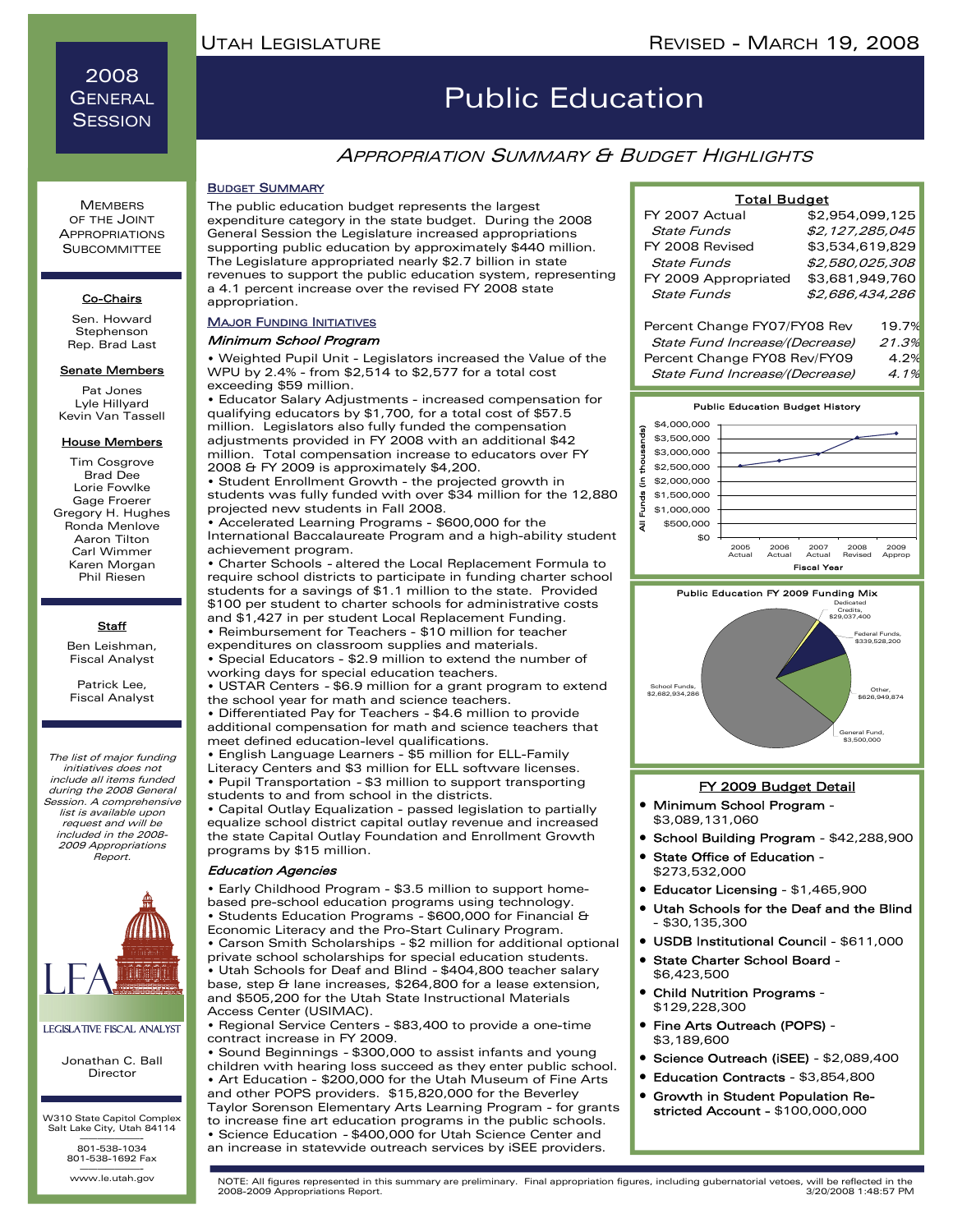2008 **GENERAL SESSION** 

#### **MEMBERS** OF THE JOINT APPROPRIATIONS **SUBCOMMITTEE**

#### Co-Chairs

Sen. Howard Stephenson Rep. Brad Last

#### Senate Members

Pat Jones Lyle Hillyard Kevin Van Tassell

#### House Members

Tim Cosgrove Brad Dee Lorie Fowlke Gage Froerer Gregory H. Hughes Ronda Menlove Aaron Tilton Carl Wimmer Karen Morgan Phil Riesen

#### **Staff**

Ben Leishman, Fiscal Analyst

Patrick Lee, Fiscal Analyst

The list of major funding initiatives does not include all items funded during the 2008 General Session. A comprehensive list is available upon request and will be included in the 2008- 2009 Appropriations Report.



#### Legislative Fiscal Analyst

Jonathan C. Ball Director

W310 State Capitol Complex Salt Lake City, Utah 84114 ———————- 801-538-1034

801-538-1692 Fax

www.le.utah.gov

## Public Education

### APPROPRIATION SUMMARY & BUDGET HIGHLIGHTS

### BUDGET SUMMARY

The public education budget represents the largest expenditure category in the state budget. During the 2008 General Session the Legislature increased appropriations supporting public education by approximately \$440 million. The Legislature appropriated nearly \$2.7 billion in state revenues to support the public education system, representing a 4.1 percent increase over the revised FY 2008 state appropriation.

#### **MAJOR FUNDING INITIATIVES**

#### Minimum School Program

• Weighted Pupil Unit - Legislators increased the Value of the WPU by 2.4% - from \$2,514 to \$2,577 for a total cost exceeding \$59 million.

• Educator Salary Adjustments - increased compensation for qualifying educators by \$1,700, for a total cost of \$57.5 million. Legislators also fully funded the compensation adjustments provided in FY 2008 with an additional \$42 million. Total compensation increase to educators over FY 2008 & FY 2009 is approximately \$4,200.

• Student Enrollment Growth - the projected growth in students was fully funded with over \$34 million for the 12,880 projected new students in Fall 2008.

• Accelerated Learning Programs - \$600,000 for the International Baccalaureate Program and a high-ability student achievement program.

• Charter Schools - altered the Local Replacement Formula to require school districts to participate in funding charter school students for a savings of \$1.1 million to the state. Provided \$100 per student to charter schools for administrative costs and \$1,427 in per student Local Replacement Funding.

• Reimbursement for Teachers - \$10 million for teacher expenditures on classroom supplies and materials.

• Special Educators - \$2.9 million to extend the number of working days for special education teachers.

• USTAR Centers - \$6.9 million for a grant program to extend the school year for math and science teachers.

• Differentiated Pay for Teachers - \$4.6 million to provide additional compensation for math and science teachers that meet defined education-level qualifications.

• English Language Learners - \$5 million for ELL-Family Literacy Centers and \$3 million for ELL software licenses. • Pupil Transportation - \$3 million to support transporting students to and from school in the districts.

• Capital Outlay Equalization - passed legislation to partially equalize school district capital outlay revenue and increased the state Capital Outlay Foundation and Enrollment Growth programs by \$15 million.

#### Education Agencies

• Early Childhood Program - \$3.5 million to support homebased pre-school education programs using technology. • Students Education Programs - \$600,000 for Financial & Economic Literacy and the Pro-Start Culinary Program. • Carson Smith Scholarships - \$2 million for additional optional private school scholarships for special education students. • Utah Schools for Deaf and Blind - \$404,800 teacher salary base, step & lane increases, \$264,800 for a lease extension,

and \$505,200 for the Utah State Instructional Materials Access Center (USIMAC). • Regional Service Centers - \$83,400 to provide a one-time

contract increase in FY 2009.

• Sound Beginnings - \$300,000 to assist infants and young children with hearing loss succeed as they enter public school. • Art Education - \$200,000 for the Utah Museum of Fine Arts and other POPS providers. \$15,820,000 for the Beverley Taylor Sorenson Elementary Arts Learning Program - for grants to increase fine art education programs in the public schools. • Science Education - \$400,000 for Utah Science Center and an increase in statewide outreach services by iSEE providers.

| <b>Total Budget</b>            |                 |       |
|--------------------------------|-----------------|-------|
| FY 2007 Actual                 | \$2.954.099.125 |       |
| <b>State Funds</b>             | \$2,127,285,045 |       |
| FY 2008 Revised                | \$3,534,619,829 |       |
| State Funds                    | \$2,580,025,308 |       |
| FY 2009 Appropriated           | \$3,681,949,760 |       |
| State Funds                    | \$2,686,434,286 |       |
|                                |                 |       |
| Percent Change FY07/FY08 Rev   |                 | 19.7% |
| State Fund Increase/(Decrease) |                 | 21.3% |
| Percent Change FY08 Rev/FY09   |                 | 4.2%  |
| State Fund Increase/(Decrease) |                 | 4.1%  |





#### FY 2009 Budget Detail

- Minimum School Program \$3,089,131,060
- School Building Program \$42,288,900
- State Office of Education \$273,532,000
- Educator Licensing \$1,465,900
- Utah Schools for the Deaf and the Blind - \$30,135,300
- USDB Institutional Council \$611,000
- State Charter School Board \$6,423,500
- Child Nutrition Programs \$129,228,300
- Fine Arts Outreach (POPS) \$3,189,600
- Science Outreach (iSEE) \$2,089,400
- Education Contracts \$3,854,800
- Growth in Student Population Restricted Account - \$100,000,000